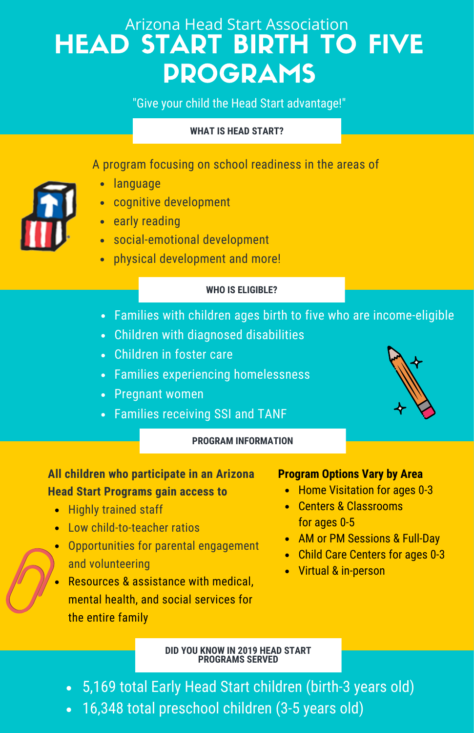# Arizona Head Start Association HEAD START BIRTH TO FIVE PROGRAMS

"Give your child the Head Start advantage!"

### **WHAT IS HEAD START?**

## A program focusing on school readiness in the areas of

- language
- cognitive development
- early reading
- social-emotional development
- physical development and more!

#### **WHO IS ELIGIBLE?**

- Families with children ages birth to five who are income-eligible
- Children with diagnosed disabilities
- Children in foster care
- Families experiencing homelessness
- Pregnant women
- Families receiving SSI and TANF



#### **PROGRAM INFORMATION**

## **All children who participate in an Arizona Head Start Programs gain access to**

- Highly trained staff
- Low child-to-teacher ratios
- Opportunities for parental engagement and volunteering
- Resources & assistance with medical, mental health, and social services for the entire family

#### **Program Options Vary by Area**

- Home Visitation for ages 0-3
- Centers & Classrooms for ages 0-5
- AM or PM Sessions & Full-Day
- Child Care Centers for ages 0-3
- Virtual & in-person

#### **DID YOU KNOW IN 2019 HEAD START PROGRAMS SERVED**

- 5,169 total Early Head Start children (birth-3 years old)
- 16,348 total preschool children (3-5 years old)